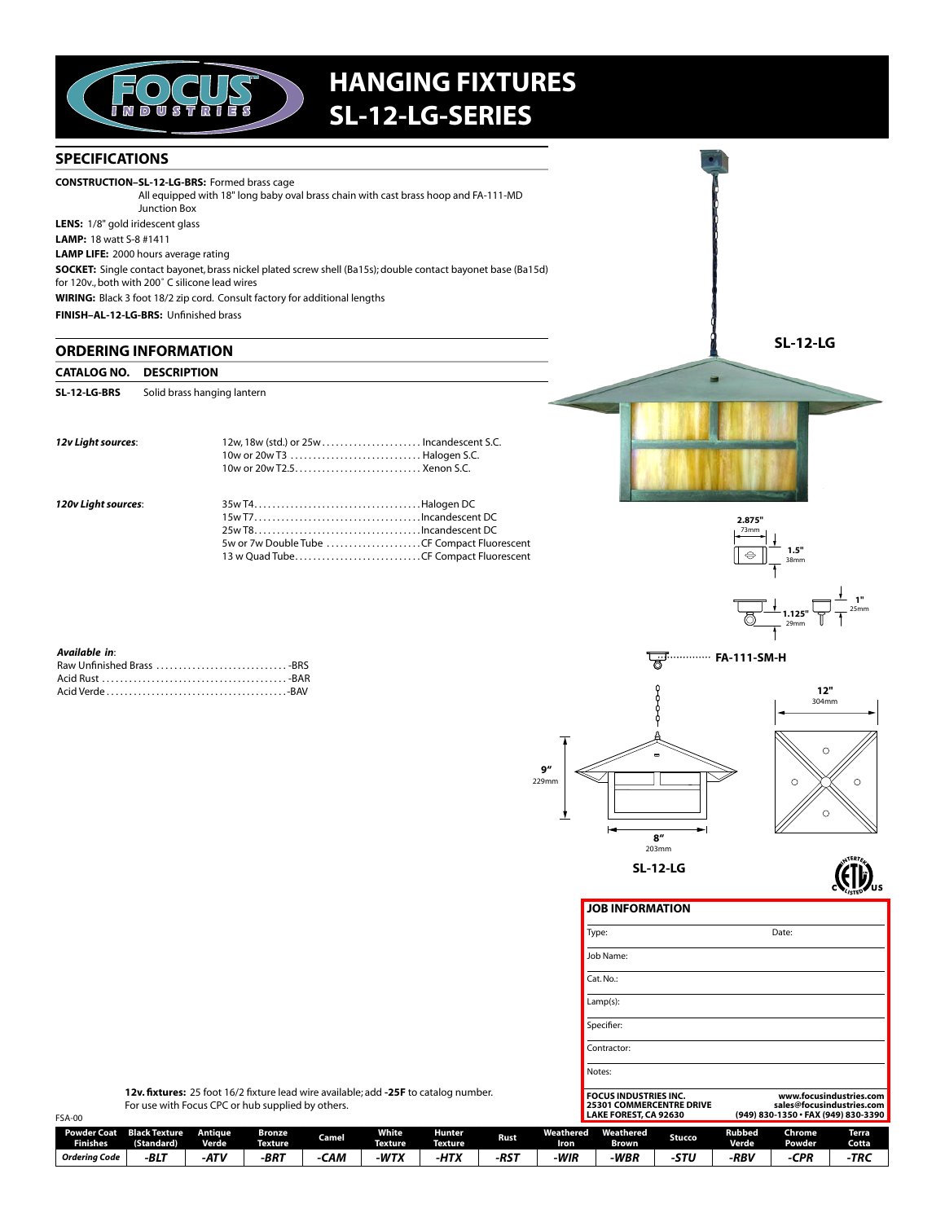

# **HANGING FIXTURES** SL-12-LG-SERIES

#### **SPECIFICATIONS**

**CONSTRUCTION-SL-12-LG-BRS:** Formed brass cage All equipped with 18" long baby oval brass chain with cast brass hoop and FA-111-MD Junction Box LENS: 1/8" gold iridescent glass

**LAMP:** 18 watt S-8 #1411

**LAMP LIFE:** 2000 hours average rating

SOCKET: Single contact bayonet, brass nickel plated screw shell (Ba15s); double contact bayonet base (Ba15d) for 120v., both with 200° C silicone lead wires

WIRING: Black 3 foot 18/2 zip cord. Consult factory for additional lengths

FINISH-AL-12-LG-BRS: Unfinished brass

### **ORDERING INFORMATION**

#### **CATALOG NO. DESCRIPTION**

SL-12-LG-BRS Solid brass hanging lantern

| 12v Light sources:  | 10w or 20w T3  Halogen S.C. |  |
|---------------------|-----------------------------|--|
| 120v Light sources: |                             |  |

|  | 5w or 7w Double Tube CF Compact Fluorescent |
|--|---------------------------------------------|
|  | 13 w Quad TubeCF Compact Fluorescent        |
|  |                                             |



**SL-12-LG** 



| Available in: |  |
|---------------|--|
|               |  |
|               |  |
|               |  |





**(ETD)** 

JOB INFORMATION

| Type:                                                                                    | Date:                                                                                       |
|------------------------------------------------------------------------------------------|---------------------------------------------------------------------------------------------|
| Job Name:                                                                                |                                                                                             |
| $Cat$ . No.:                                                                             |                                                                                             |
| $Lamp(s)$ :                                                                              |                                                                                             |
| Specifier:                                                                               |                                                                                             |
| Contractor:                                                                              |                                                                                             |
| Notes:                                                                                   |                                                                                             |
| <b>FOCUS INDUSTRIES INC.</b><br><b>25301 COMMERCENTRE DRIVE</b><br>LAKE FOREST, CA 92630 | www.focusindustries.com<br>sales@focusindustries.com<br>(949) 830-1350 · FAX (949) 830-3390 |

12v. fixtures: 25 foot 16/2 fixture lead wire available; add -25F to catalog number. For use with Focus CPC or hub supplied by others.

| <b>FSA-00</b> |                 |                                                |                         |                                 |       |                                |                          |             | LAKE FOREST, CA 92630 |                    |        | (949) 830-1350 · FAX (949) 830-3390 |                  |                 |
|---------------|-----------------|------------------------------------------------|-------------------------|---------------------------------|-------|--------------------------------|--------------------------|-------------|-----------------------|--------------------|--------|-------------------------------------|------------------|-----------------|
|               | <b>Finishes</b> | <b>Powder Coat Black Texture</b><br>(Standard) | Antique<br><b>Verde</b> | <b>Bronze</b><br><b>Texture</b> | Camel | <b>White</b><br><b>Texture</b> | Hunter<br><b>Texture</b> | <b>Rust</b> | Weathered<br>Iron     | Weathered<br>Brown | Stucco | Rubbed<br><b>Verde</b>              | Chrome<br>Powder | Terra.<br>Cotta |
|               | Orderina Code   | -BLT                                           | -ATV                    | -BRT                            | -CAM  | -WTX                           | -НТХ                     | -RST        | WIR-                  | -WBR               | -STU   | -RBV                                | -CPR             | -TRC            |